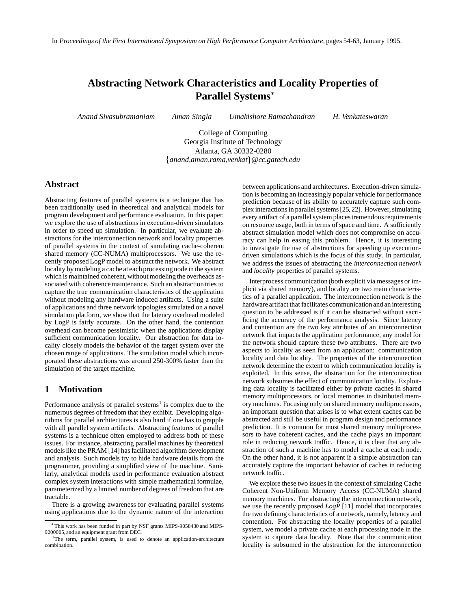# **Abstracting Network Characteristics and Locality Properties of Parallel Systems**

*Anand Sivasubramaniam Aman Singla Umakishore Ramachandran H. Venkateswaran*

College of Computing Georgia Institute of Technology Atlanta, GA 30332-0280 *anand,aman,rama,venkat* - *@cc.gatech.edu*

### **Abstract**

Abstracting features of parallel systems is a technique that has been traditionally used in theoretical and analytical models for program development and performance evaluation. In this paper, we explore the use of abstractions in execution-driven simulators in order to speed up simulation. In particular, we evaluate abstractions for the interconnection network and locality properties of parallel systems in the context of simulating cache-coherent shared memory (CC-NUMA) multiprocessors. We use the recently proposed LogP model to abstract the network. We abstract locality bymodeling a cache at each processing node in the system which is maintained coherent, without modeling the overheads associated with coherence maintenance. Such an abstraction tries to capture the true communication characteristics of the application without modeling any hardware induced artifacts. Using a suite of applications and three network topologies simulated on a novel simulation platform, we show that the latency overhead modeled by LogP is fairly accurate. On the other hand, the contention overhead can become pessimistic when the applications display sufficient communication locality. Our abstraction for data locality closely models the behavior of the target system over the chosen range of applications. The simulation model which incorporated these abstractions was around 250-300% faster than the simulation of the target machine.

# **1 Motivation**

Performance analysis of parallel systems<sup>1</sup> is complex due to the numerous degrees of freedom that they exhibit. Developing algorithms for parallel architectures is also hard if one has to grapple with all parallel system artifacts. Abstracting features of parallel systems is a technique often employed to address both of these issues. For instance, abstracting parallel machines by theoretical models like the PRAM [14] has facilitated algorithm development and analysis. Such models try to hide hardware details from the programmer, providing a simplified view of the machine. Similarly, analytical models used in performance evaluation abstract complex system interactions with simple mathematical formulae, parameterized by a limited number of degrees of freedom that are tractable.

There is a growing awareness for evaluating parallel systems using applications due to the dynamic nature of the interaction

between applications and architectures. Execution-driven simulation is becoming an increasingly popular vehicle for performance prediction because of its ability to accurately capture such complex interactionsin parallelsystems[25, 22]. However,simulating every artifact of a parallel system places tremendous requirements on resource usage, both in terms of space and time. A sufficiently abstract simulation model which does not compromise on accuracy can help in easing this problem. Hence, it is interesting to investigate the use of abstractions for speeding up executiondriven simulations which is the focus of this study. In particular, we address the issues of abstracting the *interconnection network* and *locality* properties of parallel systems.

Interprocess communication (both explicit via messages or implicit via shared memory), and locality are two main characteristics of a parallel application. The interconnection network is the hardware artifact that facilitates communication and an interesting question to be addressed is if it can be abstracted without sacrificing the accuracy of the performance analysis. Since latency and contention are the two key attributes of an interconnection network that impacts the application performance, any model for the network should capture these two attributes. There are two aspects to locality as seen from an application: communication locality and data locality. The properties of the interconnection network determine the extent to which communication locality is exploited. In this sense, the abstraction for the interconnection network subsumes the effect of communication locality. Exploiting data locality is facilitated either by private caches in shared memory multiprocessors, or local memories in distributed memory machines. Focusing only on shared memory multiprocessors, an important question that arises is to what extent caches can be abstracted and still be useful in program design and performance prediction. It is common for most shared memory multiprocessors to have coherent caches, and the cache plays an important role in reducing network traffic. Hence, it is clear that any abstraction of such a machine has to model a cache at each node. On the other hand, it is not apparent if a simple abstraction can accurately capture the important behavior of caches in reducing network traffic.

We explore these two issues in the context of simulating Cache Coherent Non-Uniform Memory Access (CC-NUMA) shared memory machines. For abstracting the interconnection network, we use the recently proposed *LogP* [11] model that incorporates the two defining characteristics of a network, namely, latency and contention. For abstracting the locality properties of a parallel system, we model a private cache at each processing node in the system to capture data locality. Note that the communication locality is subsumed in the abstraction for the interconnection

This work has been funded in part by NSF grants MIPS-9058430 and MIPS-9200005, and an equipment grant from DEC.

<sup>&</sup>lt;sup>1</sup>The term, parallel system, is used to denote an application-architecture combination.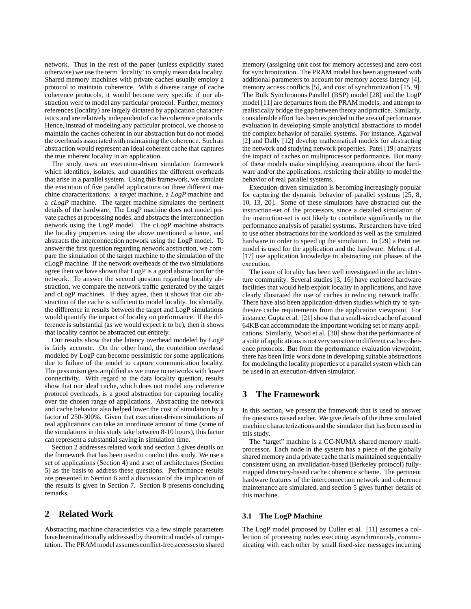network. Thus in the rest of the paper (unless explicitly stated otherwise) we use the term 'locality' to simply mean data locality. Shared memory machines with private caches usually employ a protocol to maintain coherence. With a diverse range of cache coherence protocols, it would become very specific if our abstraction were to model any particular protocol. Further, memory references (locality) are largely dictated by application characteristics and are relatively independentof cache coherence protocols. Hence, instead of modeling any particular protocol, we choose to maintain the caches coherent in our abstraction but do not model the overheads associatedwith maintaining the coherence. Such an abstraction would represent an ideal coherent cache that captures the true inherent locality in an application.

The study uses an execution-driven simulation framework which identifies, isolates, and quantifies the different overheads that arise in a parallel system. Using this framework, we simulate the execution of five parallel applications on three different machine characterizations: a *target* machine, a *LogP* machine and a *cLogP* machine. The target machine simulates the pertinent details of the hardware. The LogP machine does not model private caches at processing nodes, and abstracts the interconnection network using the LogP model. The cLogP machine abstracts the locality properties using the above mentioned scheme, and abstracts the interconnection network using the LogP model. To answer the first question regarding network abstraction, we compare the simulation of the target machine to the simulation of the cLogP machine. If the network overheads of the two simulations agree then we have shown that LogP is a good abstraction for the network. To answer the second question regarding locality abstraction, we compare the network traffic generated by the target and cLogP machines. If they agree, then it shows that our abstraction of the cache is sufficient to model locality. Incidentally, the difference in results between the target and LogP simulations would quantify the impact of locality on performance. If the difference is substantial (as we would expect it to be), then it shows that locality cannot be abstracted out entirely.

Our results show that the latency overhead modeled by LogP is fairly accurate. On the other hand, the contention overhead modeled by LogP can become pessimistic for some applications due to failure of the model to capture communication locality. The pessimism gets amplified as we move to networks with lower connectivity. With regard to the data locality question, results show that our ideal cache, which does not model any coherence protocol overheads, is a good abstraction for capturing locality over the chosen range of applications. Abstracting the network and cache behavior also helped lower the cost of simulation by a factor of 250-300%. Given that execution-driven simulations of real applications can take an inordinate amount of time (some of the simulations in this study take between 8-10 hours), this factor can represent a substantial saving in simulation time.

Section 2 addresses related work and section 3 gives details on the framework that has been used to conduct this study. We use a set of applications (Section 4) and a set of architectures (Section 5) as the basis to address these questions. Performance results are presented in Section 6 and a discussion of the implication of the results is given in Section 7. Section 8 presents concluding remarks.

# **2 Related Work**

Abstracting machine characteristics via a few simple parameters have been traditionally addressedby theoretical models of computation. The PRAM model assumesconflict-free accessesto shared memory (assigning unit cost for memory accesses) and zero cost for synchronization. The PRAM model has been augmented with additional parameters to account for memory access latency [4], memory access conflicts [5], and cost of synchronization [15, 9]. The Bulk Synchronous Parallel (BSP) model [28] and the LogP model [11] are departures from the PRAM models, and attempt to realistically bridge the gap between theory and practice. Similarly, considerable effort has been expended in the area of performance evaluation in developing simple analytical abstractions to model the complex behavior of parallel systems. For instance, Agarwal [2] and Dally [12] develop mathematical models for abstracting the network and studying network properties. Patel [19] analyzes the impact of caches on multiprocessor performance. But many of these models make simplifying assumptions about the hardware and/or the applications, restricting their ability to model the behavior of real parallel systems.

Execution-driven simulation is becoming increasingly popular for capturing the dynamic behavior of parallel systems [25, 8, 10, 13, 20]. Some of these simulators have abstracted out the instruction-set of the processors, since a detailed simulation of the instruction-set is not likely to contribute significantly to the performance analysis of parallel systems. Researchers have tried to use other abstractions for the workload as well as the simulated hardware in order to speed up the simulation. In [29] a Petri net model is used for the application and the hardware. Mehra et al. [17] use application knowledge in abstracting out phases of the execution.

The issue of locality has been well investigated in the architecture community. Several studies [3, 16] have explored hardware facilities that would help exploit locality in applications, and have clearly illustrated the use of caches in reducing network traffic. There have also been application-driven studies which try to synthesize cache requirements from the application viewpoint. For instance, Gupta et al. [21] showthat a small-sized cacheof around 64KB can accommodate the important working set of many applications. Similarly, Wood et al. [30] show that the performance of a suite of applications is not very sensitive to different cache coherence protocols. But from the performance evaluation viewpoint, there has been little work done in developing suitable abstractions for modeling the locality properties of a parallel system which can be used in an execution-driven simulator.

### **3 The Framework**

In this section, we present the framework that is used to answer the questions raised earlier. We give details of the three simulated machine characterizations and the simulator that has been used in this study.

The "target" machine is a CC-NUMA shared memory multiprocessor. Each node in the system has a piece of the globally shared memory and a private cache that is maintained sequentially consistent using an invalidation-based (Berkeley protocol) fullymapped directory-based cache coherence scheme. The pertinent hardware features of the interconnection network and coherence maintenance are simulated, and section 5 gives further details of this machine.

#### **3.1 The LogP Machine**

The LogP model proposed by Culler et al. [11] assumes a collection of processing nodes executing asynchronously, communicating with each other by small fixed-size messages incurring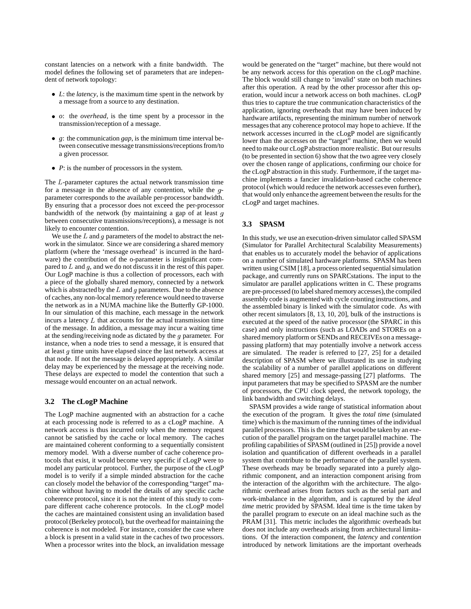constant latencies on a network with a finite bandwidth. The model defines the following set of parameters that are independent of network topology:

- *L*: the *latency*, is the maximum time spent in the network by a message from a source to any destination.
- *o*: the *overhead*, is the time spent by a processor in the transmission/reception of a message.
- *g*: the communication *gap*, is the minimum time interval between consecutive message transmissions/receptions from/to a given processor.
- $\bullet$  *P*: is the number of processors in the system.

The  $L$ -parameter captures the actual network transmission time for a message in the absence of any contention, while the  $g$ parameter corresponds to the available per-processor bandwidth. By ensuring that a processor does not exceed the per-processor bandwidth of the network (by maintaining a gap of at least  $q$ between consecutive transmissions/receptions), a message is not likely to encounter contention.

We use the  $L$  and  $g$  parameters of the model to abstract the network in the simulator. Since we are considering a shared memory platform (where the 'message overhead' is incurred in the hardware) the contribution of the o-parameter is insignificant compared to  $L$  and  $g$ , and we do not discuss it in the rest of this paper. Our LogP machine is thus a collection of processors, each with a piece of the globally shared memory, connected by a network which is abstracted by the  $L$  and  $g$  parameters. Due to the absence of caches, any non-local memory reference would need to traverse the network as in a NUMA machine like the Butterfly GP-1000. In our simulation of this machine, each message in the network incurs a latency  $L$  that accounts for the actual transmission time of the message. In addition, a message may incur a waiting time at the sending/receiving node as dictated by the  $q$  parameter. For instance, when a node tries to send a message, it is ensured that at least  $g$  time units have elapsed since the last network access at that node. If not the message is delayed appropriately. A similar delay may be experienced by the message at the receiving node. These delays are expected to model the contention that such a message would encounter on an actual network.

#### **3.2 The cLogP Machine**

The LogP machine augmented with an abstraction for a cache at each processing node is referred to as a cLogP machine. A network access is thus incurred only when the memory request cannot be satisfied by the cache or local memory. The caches are maintained coherent conforming to a sequentially consistent memory model. With a diverse number of cache coherence protocols that exist, it would become very specific if cLogP were to model any particular protocol. Further, the purpose of the cLogP model is to verify if a simple minded abstraction for the cache can closely model the behavior of the corresponding "target" machine without having to model the details of any specific cache coherence protocol, since it is not the intent of this study to compare different cache coherence protocols. In the cLogP model the caches are maintained consistent using an invalidation based protocol (Berkeley protocol), but the overhead for maintaining the coherence is not modeled. For instance, consider the case where a block is present in a valid state in the caches of two processors. When a processor writes into the block, an invalidation message

would be generated on the "target" machine, but there would not be any network access for this operation on the cLogP machine. The block would still change to 'invalid' state on both machines after this operation. A read by the other processor after this operation, would incur a network access on both machines. cLogP thus tries to capture the true communication characteristics of the application, ignoring overheads that may have been induced by hardware artifacts, representing the minimum number of network messagesthat any coherence protocol may hope to achieve. If the network accesses incurred in the cLogP model are significantly lower than the accesses on the "target" machine, then we would need to make our cLogPabstraction more realistic. But our results (to be presented in section 6) show that the two agree very closely over the chosen range of applications, confirming our choice for the cLogP abstraction in this study. Furthermore, if the target machine implements a fancier invalidation-based cache coherence protocol (which would reduce the network accesses even further), that would only enhance the agreement between the results for the cLogP and target machines.

# **3.3 SPASM**

In thisstudy, we use an execution-driven simulator called SPASM (Simulator for Parallel Architectural Scalability Measurements) that enables us to accurately model the behavior of applications on a number of simulated hardware platforms. SPASM has been written using CSIM [18], a process oriented sequential simulation package, and currently runs on SPARCstations. The input to the simulator are parallel applications written in C. These programs are pre-processed (to label shared memory accesses), the compiled assembly code is augmentedwith cycle counting instructions, and the assembled binary is linked with the simulator code. As with other recent simulators [8, 13, 10, 20], bulk of the instructions is executed at the speed of the native processor (the SPARC in this case) and only instructions (such as LOADs and STOREs on a shared memory platform or SENDs and RECEIVEs on a messagepassing platform) that may potentially involve a network access are simulated. The reader is referred to [27, 25] for a detailed description of SPASM where we illustrated its use in studying the scalability of a number of parallel applications on different shared memory [25] and message-passing [27] platforms. The input parameters that may be specified to SPASM are the number of processors, the CPU clock speed, the network topology, the link bandwidth and switching delays.

SPASM provides a wide range of statistical information about the execution of the program. It gives the *total time* (simulated time) which is the maximum of the running times of the individual parallel processors. This is the time that would be taken by an execution of the parallel program on the target parallel machine. The profiling capabilities of SPASM (outlined in [25]) provide a novel isolation and quantification of different overheads in a parallel system that contribute to the performance of the parallel system. These overheads may be broadly separated into a purely algorithmic component, and an interaction component arising from the interaction of the algorithm with the architecture. The algorithmic overhead arises from factors such as the serial part and work-imbalance in the algorithm, and is captured by the *ideal time* metric provided by SPASM. Ideal time is the time taken by the parallel program to execute on an ideal machine such as the PRAM [31]. This metric includes the algorithmic overheads but does not include any overheads arising from architectural limitations. Of the interaction component, the *latency* and *contention* introduced by network limitations are the important overheads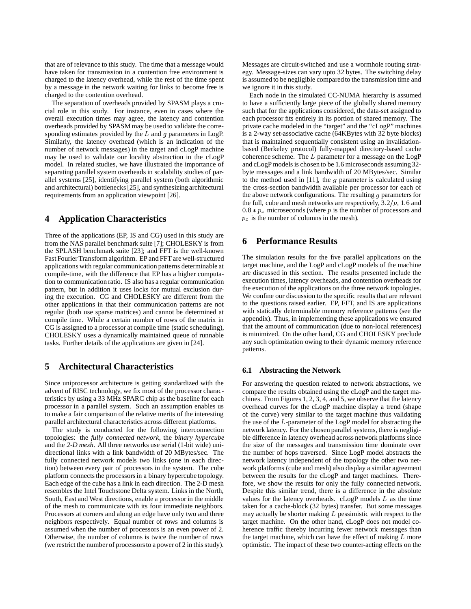that are of relevance to this study. The time that a message would have taken for transmission in a contention free environment is charged to the latency overhead, while the rest of the time spent by a message in the network waiting for links to become free is charged to the contention overhead.

The separation of overheads provided by SPASM plays a crucial role in this study. For instance, even in cases where the overall execution times may agree, the latency and contention overheads provided by SPASM may be used to validate the corresponding estimates provided by the  $L$  and  $g$  parameters in LogP. Similarly, the latency overhead (which is an indication of the number of network messages) in the target and cLogP machine may be used to validate our locality abstraction in the cLogP model. In related studies, we have illustrated the importance of separating parallel system overheads in scalability studies of parallel systems [25], identifying parallel system (both algorithmic and architectural) bottlenecks[25], and synthesizing architectural requirements from an application viewpoint [26].

# **4 Application Characteristics**

Three of the applications (EP, IS and CG) used in this study are from the NAS parallel benchmark suite [7]; CHOLESKY is from the SPLASH benchmark suite [23]; and FFT is the well-known Fast Fourier Transform algorithm. EP and FFT are well-structured applications with regular communication patterns determinable at compile-time, with the difference that EP has a higher computation to communication ratio. IS also has a regular communication pattern, but in addition it uses locks for mutual exclusion during the execution. CG and CHOLESKY are different from the other applications in that their communication patterns are not regular (both use sparse matrices) and cannot be determined at compile time. While a certain number of rows of the matrix in CG is assigned to a processor at compile time (static scheduling), CHOLESKY uses a dynamically maintained queue of runnable tasks. Further details of the applications are given in [24].

# **5 Architectural Characteristics**

Since uniprocessor architecture is getting standardized with the advent of RISC technology, we fix most of the processor characteristics by using a 33 MHz SPARC chip as the baseline for each processor in a parallel system. Such an assumption enables us to make a fair comparison of the relative merits of the interesting parallel architectural characteristics across different platforms.

The study is conducted for the following interconnection topologies: the *fully connected network*, the *binary hypercube* and the *2-D mesh*. All three networks use serial (1-bit wide) unidirectional links with a link bandwidth of 20 MBytes/sec. The fully connected network models two links (one in each direction) between every pair of processors in the system. The cube platform connects the processors in a binary hypercube topology. Each edge of the cube has a link in each direction. The 2-D mesh resembles the Intel Touchstone Delta system. Links in the North, South, East and West directions, enable a processor in the middle of the mesh to communicate with its four immediate neighbors. Processors at corners and along an edge have only two and three neighbors respectively. Equal number of rows and columns is assumed when the number of processors is an even power of 2. Otherwise, the number of columns is twice the number of rows (we restrict the number of processors to a power of  $2$  in this study). Messages are circuit-switched and use a wormhole routing strategy. Message-sizes can vary upto 32 bytes. The switching delay is assumed to be negligible compared to the transmission time and we ignore it in this study.

Each node in the simulated CC-NUMA hierarchy is assumed to have a sufficiently large piece of the globally shared memory such that for the applications considered, the data-set assigned to each processor fits entirely in its portion of shared memory. The private cache modeled in the "target" and the "cLogP" machines is a 2-way set-associative cache (64KBytes with 32 byte blocks) that is maintained sequentially consistent using an invalidationbased (Berkeley protocol) fully-mapped directory-based cache coherence scheme. The  $L$  parameter for a message on the  $LogP$ and cLogP models is chosen to be 1.6 microseconds assuming 32byte messages and a link bandwidth of 20 MBytes/sec. Similar to the method used in [11], the  $g$  parameter is calculated using the cross-section bandwidth available per processor for each of the above network configurations. The resulting  $g$  parameters for the full, cube and mesh networks are respectively,  $3.2/p$ , 1.6 and  $0.8 * p_x$  microseconds (where p is the number of processors and  $p_x$  is the number of columns in the mesh).

## **6 Performance Results**

The simulation results for the five parallel applications on the target machine, and the LogP and cLogP models of the machine are discussed in this section. The results presented include the execution times, latency overheads, and contention overheads for the execution of the applications on the three network topologies. We confine our discussion to the specific results that are relevant to the questions raised earlier. EP, FFT, and IS are applications with statically determinable memory reference patterns (see the appendix). Thus, in implementing these applications we ensured that the amount of communication (due to non-local references) is minimized. On the other hand, CG and CHOLESKY preclude any such optimization owing to their dynamic memory reference patterns.

#### **6.1 Abstracting the Network**

For answering the question related to network abstractions, we compare the results obtained using the cLogP and the target machines. From Figures 1, 2, 3, 4, and 5, we observe that the latency overhead curves for the cLogP machine display a trend (shape of the curve) very similar to the target machine thus validating the use of the L-parameter of the LogP model for abstracting the network latency. For the chosen parallel systems, there is negligible difference in latency overhead across network platforms since the size of the messages and transmission time dominate over the number of hops traversed. Since LogP model abstracts the network latency independent of the topology the other two network platforms (cube and mesh) also display a similar agreement between the results for the cLogP and target machines. Therefore, we show the results for only the fully connected network. Despite this similar trend, there is a difference in the absolute values for the latency overheads.  $cLogP$  models  $L$  as the time taken for a cache-block (32 bytes) transfer. But some messages may actually be shorter making  $L$  pessimistic with respect to the target machine. On the other hand, cLogP does not model coherence traffic thereby incurring fewer network messages than the target machine, which can have the effect of making  $L$  more optimistic. The impact of these two counter-acting effects on the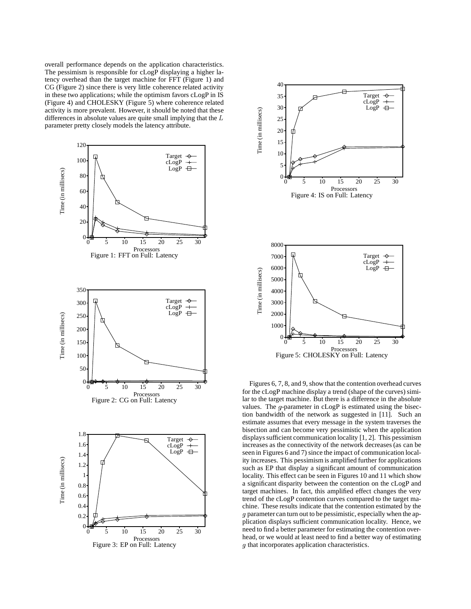overall performance depends on the application characteristics. The pessimism is responsible for cLogP displaying a higher latency overhead than the target machine for FFT (Figure 1) and CG (Figure 2) since there is very little coherence related activity in these two applications; while the optimism favors cLogP in IS (Figure 4) and CHOLESKY (Figure 5) where coherence related activity is more prevalent. However, it should be noted that these parameter pretty closely models the latency attribute.





Figures 6, 7, 8, and 9, show that the contention overhead curves for the cLogP machine display a trend (shape of the curves) similar to the target machine. But there is a difference in the absolute values. The  $g$ -parameter in  $cLogP$  is estimated using the bisection bandwidth of the network as suggested in [11]. Such an estimate assumes that every message in the system traverses the bisection and can become very pessimistic when the application displays sufficient communication locality [1, 2]. This pessimism increases as the connectivity of the network decreases(as can be seen in Figures 6 and 7) since the impact of communication locality increases. This pessimism is amplified further for applications such as EP that display a significant amount of communication locality. This effect can be seen in Figures 10 and 11 which show a significant disparity between the contention on the cLogP and target machines. In fact, this amplified effect changes the very trend of the cLogP contention curves compared to the target machine. These results indicate that the contention estimated by the g parameter can turn out to be pessimistic, especially when the application displays sufficient communication locality. Hence, we need to find a better parameter for estimating the contention overhead, or we would at least need to find a better way of estimating g that incorporates application characteristics.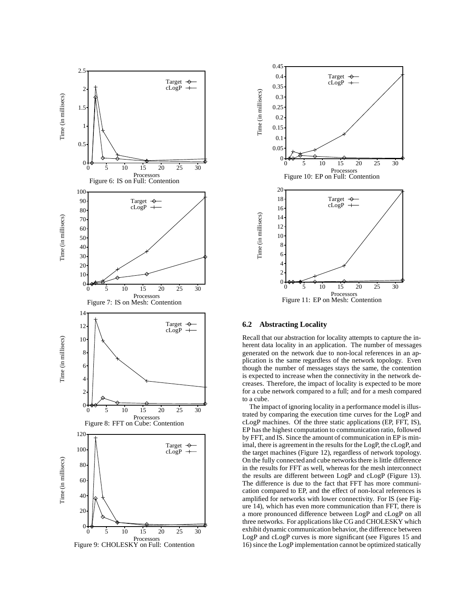

Processors Figure 9: CHOLESKY on Full: Contention



#### **6.2 Abstracting Locality**

Recall that our abstraction for locality attempts to capture the inherent data locality in an application. The number of messages generated on the network due to non-local references in an application is the same regardless of the network topology. Even though the number of messages stays the same, the contention is expected to increase when the connectivity in the network decreases. Therefore, the impact of locality is expected to be more for a cube network compared to a full; and for a mesh compared to a cube.

The impact of ignoring locality in a performance model is illustrated by comparing the execution time curves for the LogP and cLogP machines. Of the three static applications (EP, FFT, IS), EP hasthe highest computation to communication ratio, followed by FFT, and IS. Since the amount of communication in EP is minimal, there is agreement in the results for the LogP, the cLogP, and the target machines (Figure 12), regardless of network topology. On the fully connected and cube networks there is little difference in the results for FFT as well, whereas for the mesh interconnect the results are different between LogP and cLogP (Figure 13). The difference is due to the fact that FFT has more communication compared to EP, and the effect of non-local references is amplified for networks with lower connectivity. For IS (see Figure 14), which has even more communication than FFT, there is a more pronounced difference between LogP and cLogP on all three networks. For applications like CG and CHOLESKY which exhibit dynamic communication behavior, the difference between LogP and cLogP curves is more significant (see Figures 15 and 16) since the LogP implementation cannot be optimized statically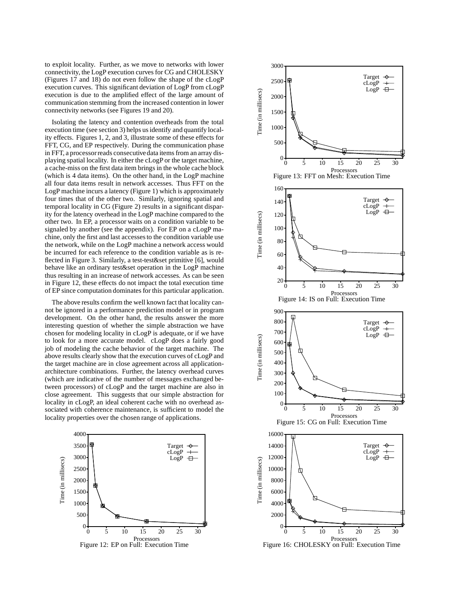to exploit locality. Further, as we move to networks with lower connectivity, the LogP execution curves for CG and CHOLESKY (Figures 17 and 18) do not even follow the shape of the cLogP execution curves. This significant deviation of LogP from cLogP execution is due to the amplified effect of the large amount of communication stemming from the increased contention in lower connectivity networks (see Figures 19 and 20).

Isolating the latency and contention overheads from the total execution time (see section 3) helps usidentify and quantify locality effects. Figures 1, 2, and 3, illustrate some of these effects for FFT, CG, and EP respectively. During the communication phase in FFT, a processor reads consecutive data items from an array displaying spatial locality. In either the cLogP or the target machine, a cache-miss on the first data item brings in the whole cache block (which is 4 data items). On the other hand, in the LogP machine all four data items result in network accesses. Thus FFT on the LogP machine incurs a latency (Figure 1) which is approximately four times that of the other two. Similarly, ignoring spatial and temporal locality in CG (Figure 2) results in a significant disparity for the latency overhead in the LogP machine compared to the other two. In EP, a processor waits on a condition variable to be signaled by another (see the appendix). For EP on a cLogP machine, only the first and last accessesto the condition variable use the network, while on the LogP machine a network access would be incurred for each reference to the condition variable as is reflected in Figure 3. Similarly, a test-test&set primitive [6], would behave like an ordinary test&set operation in the LogP machine thus resulting in an increase of network accesses. As can be seen in Figure 12, these effects do not impact the total execution time of EP since computation dominates for this particular application.

The above results confirm the well known fact that locality cannot be ignored in a performance prediction model or in program development. On the other hand, the results answer the more interesting question of whether the simple abstraction we have chosen for modeling locality in cLogP is adequate, or if we have to look for a more accurate model. cLogP does a fairly good job of modeling the cache behavior of the target machine. The above results clearly show that the execution curves of cLogP and the target machine are in close agreement across all applicationarchitecture combinations. Further, the latency overhead curves (which are indicative of the number of messages exchanged between processors) of cLogP and the target machine are also in close agreement. This suggests that our simple abstraction for locality in cLogP, an ideal coherent cache with no overhead associated with coherence maintenance, is sufficient to model the locality properties over the chosen range of applications.





Processors Figure 16: CHOLESKY on Full: Execution Time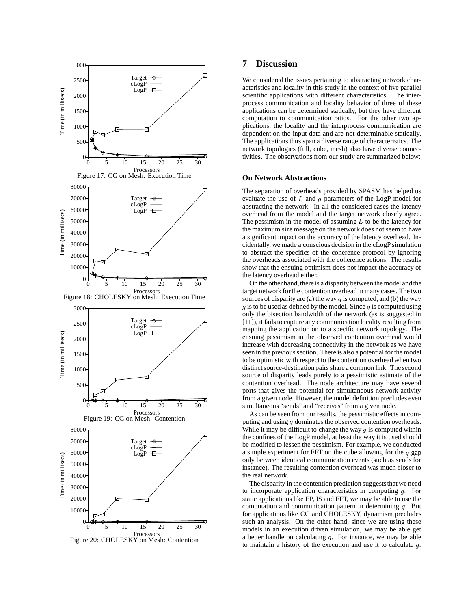

# Figure 20: CHOLESKY on Mesh: Contention

# **7 Discussion**

We considered the issues pertaining to abstracting network characteristics and locality in this study in the context of five parallel scientific applications with different characteristics. The interprocess communication and locality behavior of three of these applications can be determined statically, but they have different computation to communication ratios. For the other two applications, the locality and the interprocess communication are dependent on the input data and are not determinable statically. The applications thus span a diverse range of characteristics. The network topologies (full, cube, mesh) also have diverse connectivities. The observations from our study are summarized below:

#### **On Network Abstractions**

The separation of overheads provided by SPASM has helped us evaluate the use of L and  $g$  parameters of the LogP model for abstracting the network. In all the considered cases the latency overhead from the model and the target network closely agree. The pessimism in the model of assuming  $L$  to be the latency for the maximum size message on the network does not seem to have a significant impact on the accuracy of the latency overhead. Incidentally, we made a conscious decision in the cLogP simulation to abstract the specifics of the coherence protocol by ignoring the overheads associated with the coherence actions. The results show that the ensuing optimism does not impact the accuracy of the latency overhead either.

On the other hand, there is a disparity between themodel and the target network for the contention overhead in many cases. The two sources of disparity are (a) the way  $g$  is computed, and (b) the way  $g$  is to be used as defined by the model. Since  $g$  is computed using only the bisection bandwidth of the network (as is suggested in [11]), it fails to capture any communication locality resulting from mapping the application on to a specific network topology. The ensuing pessimism in the observed contention overhead would increase with decreasing connectivity in the network as we have seen in the previous section. There is also a potential for the model to be optimistic with respect to the contention overhead when two distinct source-destination pairs share a common link. The second source of disparity leads purely to a pessimistic estimate of the contention overhead. The node architecture may have several ports that gives the potential for simultaneous network activity from a given node. However, the model definition precludes even simultaneous "sends" and "receives" from a given node.

As can be seen from our results, the pessimistic effects in computing and using  $g$  dominates the observed contention overheads. While it may be difficult to change the way  $g$  is computed within the confines of the LogP model, at least the way it is used should be modified to lessen the pessimism. For example, we conducted a simple experiment for FFT on the cube allowing for the  $g$  gap only between identical communication events (such as sends for instance). The resulting contention overhead was much closer to the real network.

The disparity in the contention prediction suggests that we need to incorporate application characteristics in computing  $g$ . For static applications like EP, IS and FFT, we may be able to use the computation and communication pattern in determining  $g$ . But for applications like CG and CHOLESKY, dynamism precludes such an analysis. On the other hand, since we are using these models in an execution driven simulation, we may be able get a better handle on calculating  $g$ . For instance, we may be able to maintain a history of the execution and use it to calculate  $g$ .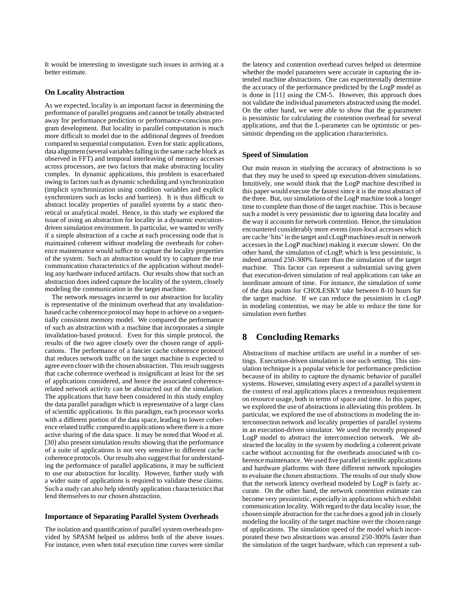It would be interesting to investigate such issues in arriving at a better estimate.

#### **On Locality Abstraction**

As we expected, locality is an important factor in determining the performance of parallel programs and cannot be totally abstracted away for performance prediction or performance-conscious program development. But locality in parallel computation is much more difficult to model due to the additional degrees of freedom compared to sequential computation. Even for static applications, data alignment (several variables falling in the same cache block as observed in FFT) and temporal interleaving of memory accesses across processors, are two factors that make abstracting locality complex. In dynamic applications, this problem is exacerbated owing to factors such as dynamic scheduling and synchronization (implicit synchronization using condition variables and explicit synchronizers such as locks and barriers). It is thus difficult to abstract locality properties of parallel systems by a static theoretical or analytical model. Hence, in this study we explored the issue of using an abstraction for locality in a dynamic executiondriven simulation environment. In particular, we wanted to verify if a simple abstraction of a cache at each processing node that is maintained coherent without modeling the overheads for coherence maintenance would suffice to capture the locality properties of the system. Such an abstraction would try to capture the true communication characteristics of the application without modeling any hardware induced artifacts. Our results show that such an abstraction doesindeed capture the locality of the system, closely modeling the communication in the target machine.

The network messages incurred in our abstraction for locality is representative of the minimum overhead that any invalidationbased cache coherence protocol may hope to achieve on a sequentially consistent memory model. We compared the performance of such an abstraction with a machine that incorporates a simple invalidation-based protocol. Even for this simple protocol, the results of the two agree closely over the chosen range of applications. The performance of a fancier cache coherence protocol that reduces network traffic on the target machine is expected to agree even closer with the chosen abstraction. This result suggests that cache coherence overhead is insignificant at least for the set of applications considered, and hence the associated coherencerelated network activity can be abstracted out of the simulation. The applications that have been considered in this study employ the data parallel paradigm which is representative of a large class of scientific applications. In this paradigm, each processor works with a different portion of the data space, leading to lower coherence related traffic compared to applications where there is a more active sharing of the data space. It may be noted that Wood et al. [30] also present simulation results showing that the performance of a suite of applications is not very sensitive to different cache coherence protocols. Our results also suggest that for understanding the performance of parallel applications, it may be sufficient to use our abstraction for locality. However, further study with a wider suite of applications is required to validate these claims. Such a study can also help identify application characteristics that lend themselves to our chosen abstraction.

#### **Importance of Separating Parallel System Overheads**

The isolation and quantification of parallel system overheads provided by SPASM helped us address both of the above issues. For instance, even when total execution time curves were similar the latency and contention overhead curves helped us determine whether the model parameters were accurate in capturing the intended machine abstractions. One can experimentally determine the accuracy of the performance predicted by the LogP model as is done in [11] using the CM-5. However, this approach does not validate the individual parameters abstracted using the model. On the other hand, we were able to show that the g-parameter is pessimistic for calculating the contention overhead for several applications, and that the L-parameter can be optimistic or pessimistic depending on the application characteristics.

#### **Speed of Simulation**

Our main reason in studying the accuracy of abstractions is so that they may be used to speed up execution-driven simulations. Intuitively, one would think that the LogP machine described in this paper would execute the fastest since it is the most abstract of the three. But, our simulations of the LogP machine took a longer time to complete than those of the target machine. This is because such a model is very pessimistic due to ignoring data locality and the way it accountsfor network contention. Hence, the simulation encountered considerably more events (non-local accesses which are cache 'hits' in the target and cLogP machines result in network accessesin the LogP machine) making it execute slower. On the other hand, the simulation of cLogP, which is less pessimistic, is indeed around 250-300% faster than the simulation of the target machine. This factor can represent a substantial saving given that execution-driven simulation of real applications can take an inordinate amount of time. For instance, the simulation of some of the data points for CHOLESKY take between 8-10 hours for the target machine. If we can reduce the pessimism in cLogP in modeling contention, we may be able to reduce the time for simulation even further.

# **8 Concluding Remarks**

Abstractions of machine artifacts are useful in a number of settings. Execution-driven simulation is one such setting. This simulation technique is a popular vehicle for performance prediction because of its ability to capture the dynamic behavior of parallel systems. However, simulating every aspect of a parallel system in the context of real applications places a tremendous requirement on resource usage, both in terms of space and time. In this paper, we explored the use of abstractions in alleviating this problem. In particular, we explored the use of abstractions in modeling the interconnection network and locality properties of parallel systems in an execution-driven simulator. We used the recently proposed LogP model to abstract the interconnection network. We abstracted the locality in the system by modeling a coherent private cache without accounting for the overheads associated with coherence maintenance. We used five parallel scientific applications and hardware platforms with three different network topologies to evaluate the chosen abstractions. The results of our study show that the network latency overhead modeled by LogP is fairly accurate. On the other hand, the network contention estimate can become very pessimistic, especially in applications which exhibit communication locality. With regard to the data locality issue, the chosen simple abstraction for the cache does a good job in closely modeling the locality of the target machine over the chosen range of applications. The simulation speed of the model which incorporated these two abstractions was around 250-300% faster than the simulation of the target hardware, which can represent a sub